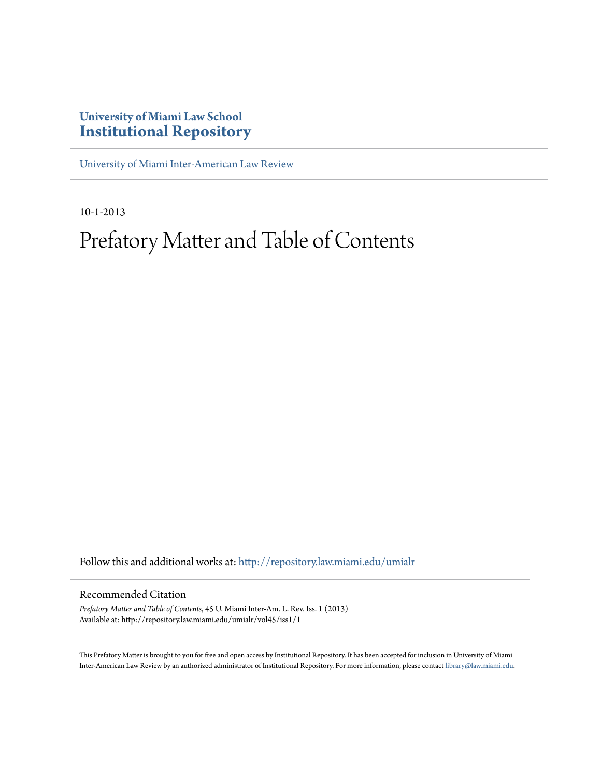### **University of Miami Law School [Institutional Repository](http://repository.law.miami.edu?utm_source=repository.law.miami.edu%2Fumialr%2Fvol45%2Fiss1%2F1&utm_medium=PDF&utm_campaign=PDFCoverPages)**

[University of Miami Inter-American Law Review](http://repository.law.miami.edu/umialr?utm_source=repository.law.miami.edu%2Fumialr%2Fvol45%2Fiss1%2F1&utm_medium=PDF&utm_campaign=PDFCoverPages)

10-1-2013

# Prefatory Matter and Table of Contents

Follow this and additional works at: [http://repository.law.miami.edu/umialr](http://repository.law.miami.edu/umialr?utm_source=repository.law.miami.edu%2Fumialr%2Fvol45%2Fiss1%2F1&utm_medium=PDF&utm_campaign=PDFCoverPages)

#### Recommended Citation

*Prefatory Matter and Table of Contents*, 45 U. Miami Inter-Am. L. Rev. Iss. 1 (2013) Available at: http://repository.law.miami.edu/umialr/vol45/iss1/1

This Prefatory Matter is brought to you for free and open access by Institutional Repository. It has been accepted for inclusion in University of Miami Inter-American Law Review by an authorized administrator of Institutional Repository. For more information, please contact [library@law.miami.edu](mailto:library@law.miami.edu).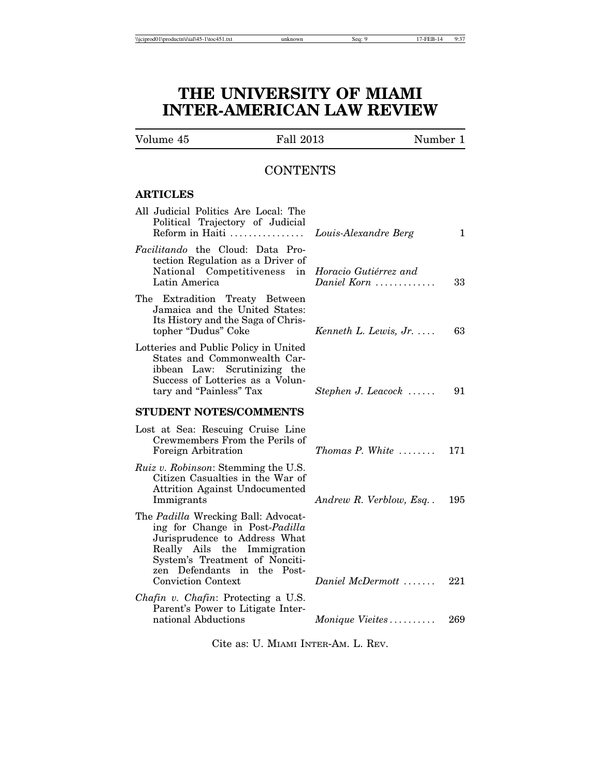### **THE UNIVERSITY OF MIAMI INTER-AMERICAN LAW REVIEW**

Volume 45 Fall 2013 Number 1

### **CONTENTS**

#### **ARTICLES**

| All Judicial Politics Are Local: The<br>Political Trajectory of Judicial<br>Reform in Haiti                                                                                                            | Louis-Alexandre Berg                 | 1   |
|--------------------------------------------------------------------------------------------------------------------------------------------------------------------------------------------------------|--------------------------------------|-----|
| Facilitando the Cloud: Data Pro-<br>tection Regulation as a Driver of<br>National Competitiveness<br>in<br>Latin America                                                                               | Horacio Gutiérrez and<br>Daniel Korn | 33  |
| The Extradition Treaty Between<br>Jamaica and the United States:<br>Its History and the Saga of Chris-<br>topher "Dudus" Coke                                                                          | Kenneth L. Lewis, $Jr$               | 63  |
| Lotteries and Public Policy in United<br>States and Commonwealth Car-<br>ibbean Law: Scrutinizing the<br>Success of Lotteries as a Volun-<br>tary and "Painless" Tax                                   | Stephen J. Leacock $\ldots$ .        | 91  |
| <b>STUDENT NOTES/COMMENTS</b>                                                                                                                                                                          |                                      |     |
| Lost at Sea: Rescuing Cruise Line<br>Crewmembers From the Perils of<br>Foreign Arbitration                                                                                                             | $Thomas\ P. White\ \dots \dots$      | 171 |
| <i>Ruiz v. Robinson:</i> Stemming the U.S.<br>Citizen Casualties in the War of<br><b>Attrition Against Undocumented</b><br>Immigrants                                                                  | Andrew R. Verblow, Esq               | 195 |
| The Padilla Wrecking Ball: Advocat-<br>ing for Change in Post-Padilla<br>Jurisprudence to Address What<br>Really Ails the Immigration<br>System's Treatment of Nonciti-<br>zen Defendants in the Post- |                                      |     |
| <b>Conviction Context</b>                                                                                                                                                                              | Daniel McDermott $\ldots$            | 221 |
| Chafin v. Chafin: Protecting a U.S.<br>Parent's Power to Litigate Inter-                                                                                                                               |                                      |     |
| national Abductions                                                                                                                                                                                    | <i>Monique Vieites</i>               | 269 |

Cite as: U. MIAMI INTER-AM. L. REV.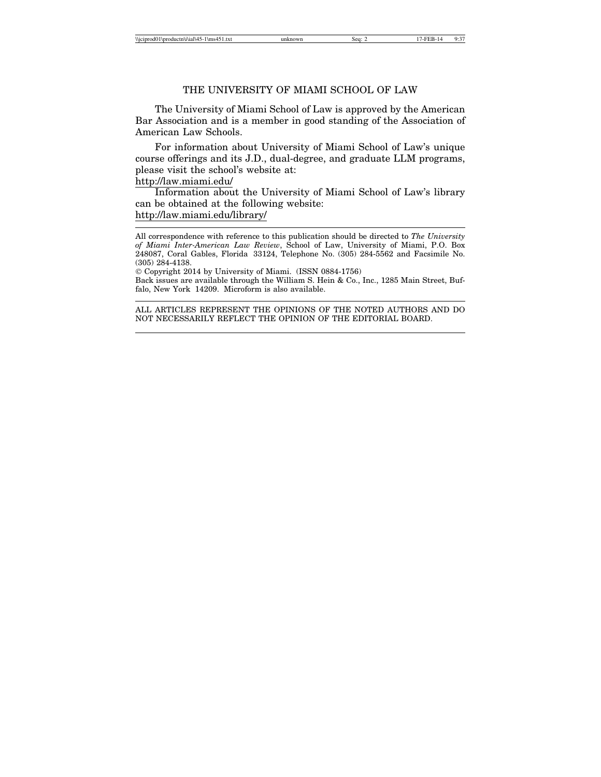#### THE UNIVERSITY OF MIAMI SCHOOL OF LAW

The University of Miami School of Law is approved by the American Bar Association and is a member in good standing of the Association of American Law Schools.

For information about University of Miami School of Law's unique course offerings and its J.D., dual-degree, and graduate LLM programs, please visit the school's website at:

#### http://law.miami.edu/

Information about the University of Miami School of Law's library can be obtained at the following website: http://law.miami.edu/library/

All correspondence with reference to this publication should be directed to *The University of Miami Inter-American Law Review*, School of Law, University of Miami, P.O. Box 248087, Coral Gables, Florida 33124, Telephone No. (305) 284-5562 and Facsimile No. (305) 284-4138.

© Copyright 2014 by University of Miami. (ISSN 0884-1756)

Back issues are available through the William S. Hein & Co., Inc., 1285 Main Street, Buffalo, New York 14209. Microform is also available.

ALL ARTICLES REPRESENT THE OPINIONS OF THE NOTED AUTHORS AND DO NOT NECESSARILY REFLECT THE OPINION OF THE EDITORIAL BOARD.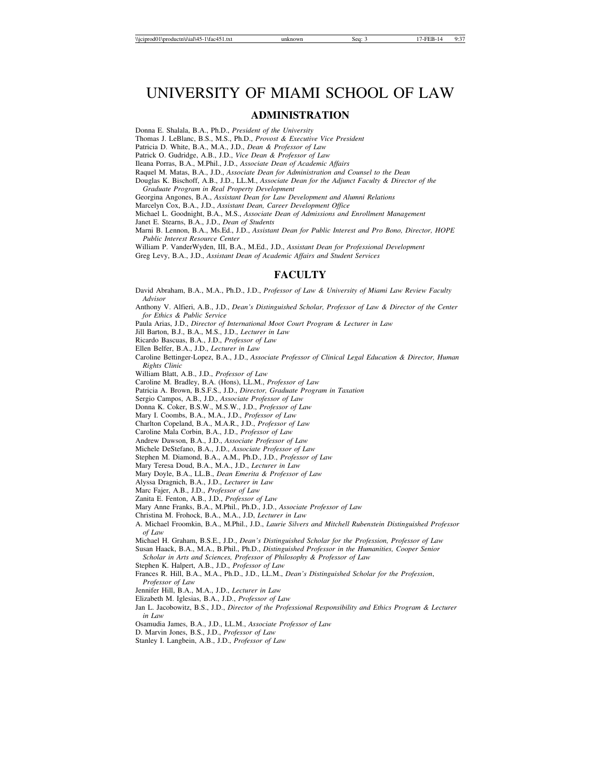## UNIVERSITY OF MIAMI SCHOOL OF LAW

#### **ADMINISTRATION**

Donna E. Shalala, B.A., Ph.D., *President of the University*

Thomas J. LeBlanc, B.S., M.S., Ph.D., *Provost & Executive Vice President*

Patricia D. White, B.A., M.A., J.D., *Dean & Professor of Law*

Patrick O. Gudridge, A.B., J.D., *Vice Dean & Professor of Law*

Ileana Porras, B.A., M.Phil., J.D., *Associate Dean of Academic Affairs*

Raquel M. Matas, B.A., J.D., *Associate Dean for Administration and Counsel to the Dean*

Douglas K. Bischoff, A.B., J.D., LL.M., *Associate Dean for the Adjunct Faculty & Director of the Graduate Program in Real Property Development*

Georgina Angones, B.A., *Assistant Dean for Law Development and Alumni Relations*

Marcelyn Cox, B.A., J.D., *Assistant Dean, Career Development Office*

Michael L. Goodnight, B.A., M.S., *Associate Dean of Admissions and Enrollment Management*

Janet E. Stearns, B.A., J.D., *Dean of Students*

Marni B. Lennon, B.A., Ms.Ed., J.D., *Assistant Dean for Public Interest and Pro Bono, Director, HOPE Public Interest Resource Center*

William P. VanderWyden, III, B.A., M.Ed., J.D., *Assistant Dean for Professional Development*

Greg Levy, B.A., J.D., *Assistant Dean of Academic Affairs and Student Services*

#### **FACULTY**

David Abraham, B.A., M.A., Ph.D., J.D., *Professor of Law & University of Miami Law Review Faculty Advisor*

Anthony V. Alfieri, A.B., J.D., *Dean's Distinguished Scholar, Professor of Law & Director of the Center for Ethics & Public Service*

Paula Arias, J.D., *Director of International Moot Court Program & Lecturer in Law*

Jill Barton, B.J., B.A., M.S., J.D., *Lecturer in Law*

Ricardo Bascuas, B.A., J.D., *Professor of Law*

Ellen Belfer, B.A., J.D., *Lecturer in Law*

Caroline Bettinger-Lopez, B.A., J.D., *Associate Professor of Clinical Legal Education & Director, Human Rights Clinic*

William Blatt, A.B., J.D., *Professor of Law*

Caroline M. Bradley, B.A. (Hons), LL.M., *Professor of Law*

Patricia A. Brown, B.S.F.S., J.D., *Director, Graduate Program in Taxation*

Sergio Campos, A.B., J.D., *Associate Professor of Law*

Donna K. Coker, B.S.W., M.S.W., J.D., *Professor of Law*

Mary I. Coombs, B.A., M.A., J.D., *Professor of Law* Charlton Copeland, B.A., M.A.R., J.D., *Professor of Law*

Caroline Mala Corbin, B.A., J.D., *Professor of Law*

Andrew Dawson, B.A., J.D., *Associate Professor of Law* Michele DeStefano, B.A., J.D., *Associate Professor of Law*

Stephen M. Diamond, B.A., A.M., Ph.D., J.D., *Professor of Law*

Mary Teresa Doud, B.A., M.A., J.D., *Lecturer in Law* Mary Doyle, B.A., LL.B., *Dean Emerita & Professor of Law*

Alyssa Dragnich, B.A., J.D., *Lecturer in Law*

Marc Fajer, A.B., J.D., *Professor of Law*

Zanita E. Fenton, A.B., J.D., *Professor of Law*

Mary Anne Franks, B.A., M.Phil., Ph.D., J.D., *Associate Professor of Law*

Christina M. Frohock, B.A., M.A., J.D, *Lecturer in Law*

A. Michael Froomkin, B.A., M.Phil., J.D., *Laurie Silvers and Mitchell Rubenstein Distinguished Professor of Law*

Michael H. Graham, B.S.E., J.D., *Dean's Distinguished Scholar for the Profession, Professor of Law*

Susan Haack, B.A., M.A., B.Phil., Ph.D., *Distinguished Professor in the Humanities, Cooper Senior Scholar in Arts and Sciences, Professor of Philosophy & Professor of Law*

Stephen K. Halpert, A.B., J.D., *Professor of Law*

Frances R. Hill, B.A., M.A., Ph.D., J.D., LL.M., *Dean's Distinguished Scholar for the Profession*, *Professor of Law*

Jennifer Hill, B.A., M.A., J.D., *Lecturer in Law*

Elizabeth M. Iglesias, B.A., J.D., *Professor of Law*

Jan L. Jacobowitz, B.S., J.D., *Director of the Professional Responsibility and Ethics Program & Lecturer in Law*

Osamudia James, B.A., J.D., LL.M., *Associate Professor of Law*

D. Marvin Jones, B.S., J.D., *Professor of Law*

Stanley I. Langbein, A.B., J.D., *Professor of Law*